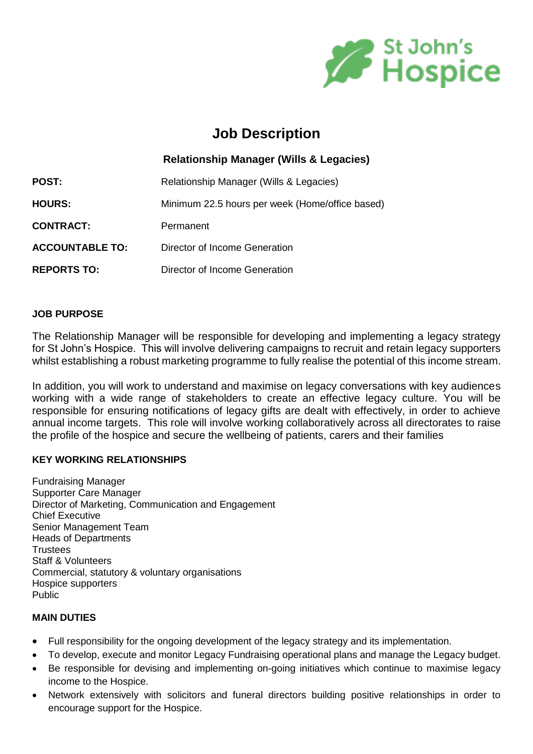

# **Job Description**

|                        | <b>Relationship Manager (Wills &amp; Legacies)</b> |
|------------------------|----------------------------------------------------|
| POST:                  | Relationship Manager (Wills & Legacies)            |
| <b>HOURS:</b>          | Minimum 22.5 hours per week (Home/office based)    |
| <b>CONTRACT:</b>       | Permanent                                          |
| <b>ACCOUNTABLE TO:</b> | Director of Income Generation                      |
| <b>REPORTS TO:</b>     | Director of Income Generation                      |

### **JOB PURPOSE**

The Relationship Manager will be responsible for developing and implementing a legacy strategy for St John's Hospice. This will involve delivering campaigns to recruit and retain legacy supporters whilst establishing a robust marketing programme to fully realise the potential of this income stream.

In addition, you will work to understand and maximise on legacy conversations with key audiences working with a wide range of stakeholders to create an effective legacy culture. You will be responsible for ensuring notifications of legacy gifts are dealt with effectively, in order to achieve annual income targets. This role will involve working collaboratively across all directorates to raise the profile of the hospice and secure the wellbeing of patients, carers and their families

## **KEY WORKING RELATIONSHIPS**

Fundraising Manager Supporter Care Manager Director of Marketing, Communication and Engagement Chief Executive Senior Management Team Heads of Departments **Trustees** Staff & Volunteers Commercial, statutory & voluntary organisations Hospice supporters Public

## **MAIN DUTIES**

- Full responsibility for the ongoing development of the legacy strategy and its implementation.
- To develop, execute and monitor Legacy Fundraising operational plans and manage the Legacy budget.
- Be responsible for devising and implementing on-going initiatives which continue to maximise legacy income to the Hospice.
- Network extensively with solicitors and funeral directors building positive relationships in order to encourage support for the Hospice.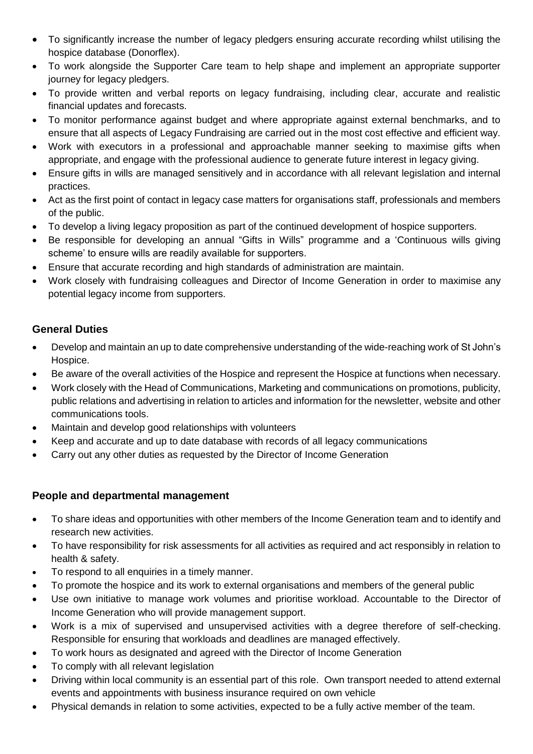- To significantly increase the number of legacy pledgers ensuring accurate recording whilst utilising the hospice database (Donorflex).
- To work alongside the Supporter Care team to help shape and implement an appropriate supporter journey for legacy pledgers.
- To provide written and verbal reports on legacy fundraising, including clear, accurate and realistic financial updates and forecasts.
- To monitor performance against budget and where appropriate against external benchmarks, and to ensure that all aspects of Legacy Fundraising are carried out in the most cost effective and efficient way.
- Work with executors in a professional and approachable manner seeking to maximise gifts when appropriate, and engage with the professional audience to generate future interest in legacy giving.
- Ensure gifts in wills are managed sensitively and in accordance with all relevant legislation and internal practices.
- Act as the first point of contact in legacy case matters for organisations staff, professionals and members of the public.
- To develop a living legacy proposition as part of the continued development of hospice supporters.
- Be responsible for developing an annual "Gifts in Wills" programme and a 'Continuous wills giving scheme' to ensure wills are readily available for supporters.
- Ensure that accurate recording and high standards of administration are maintain.
- Work closely with fundraising colleagues and Director of Income Generation in order to maximise any potential legacy income from supporters.

# **General Duties**

- Develop and maintain an up to date comprehensive understanding of the wide-reaching work of St John's Hospice.
- Be aware of the overall activities of the Hospice and represent the Hospice at functions when necessary.
- Work closely with the Head of Communications, Marketing and communications on promotions, publicity, public relations and advertising in relation to articles and information for the newsletter, website and other communications tools.
- Maintain and develop good relationships with volunteers
- Keep and accurate and up to date database with records of all legacy communications
- Carry out any other duties as requested by the Director of Income Generation

# **People and departmental management**

- To share ideas and opportunities with other members of the Income Generation team and to identify and research new activities.
- To have responsibility for risk assessments for all activities as required and act responsibly in relation to health & safety.
- To respond to all enquiries in a timely manner.
- To promote the hospice and its work to external organisations and members of the general public
- Use own initiative to manage work volumes and prioritise workload. Accountable to the Director of Income Generation who will provide management support.
- Work is a mix of supervised and unsupervised activities with a degree therefore of self-checking. Responsible for ensuring that workloads and deadlines are managed effectively.
- To work hours as designated and agreed with the Director of Income Generation
- To comply with all relevant legislation
- Driving within local community is an essential part of this role. Own transport needed to attend external events and appointments with business insurance required on own vehicle
- Physical demands in relation to some activities, expected to be a fully active member of the team.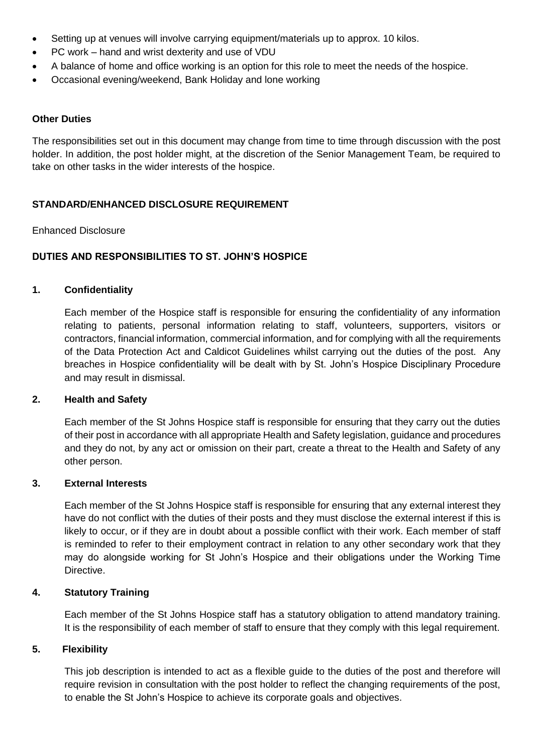- Setting up at venues will involve carrying equipment/materials up to approx. 10 kilos.
- PC work hand and wrist dexterity and use of VDU
- A balance of home and office working is an option for this role to meet the needs of the hospice.
- Occasional evening/weekend, Bank Holiday and lone working

#### **Other Duties**

The responsibilities set out in this document may change from time to time through discussion with the post holder. In addition, the post holder might, at the discretion of the Senior Management Team, be required to take on other tasks in the wider interests of the hospice.

#### **STANDARD/ENHANCED DISCLOSURE REQUIREMENT**

#### Enhanced Disclosure

### **DUTIES AND RESPONSIBILITIES TO ST. JOHN'S HOSPICE**

#### **1. Confidentiality**

Each member of the Hospice staff is responsible for ensuring the confidentiality of any information relating to patients, personal information relating to staff, volunteers, supporters, visitors or contractors, financial information, commercial information, and for complying with all the requirements of the Data Protection Act and Caldicot Guidelines whilst carrying out the duties of the post. Any breaches in Hospice confidentiality will be dealt with by St. John's Hospice Disciplinary Procedure and may result in dismissal.

#### **2. Health and Safety**

Each member of the St Johns Hospice staff is responsible for ensuring that they carry out the duties of their post in accordance with all appropriate Health and Safety legislation, guidance and procedures and they do not, by any act or omission on their part, create a threat to the Health and Safety of any other person.

#### **3. External Interests**

Each member of the St Johns Hospice staff is responsible for ensuring that any external interest they have do not conflict with the duties of their posts and they must disclose the external interest if this is likely to occur, or if they are in doubt about a possible conflict with their work. Each member of staff is reminded to refer to their employment contract in relation to any other secondary work that they may do alongside working for St John's Hospice and their obligations under the Working Time Directive.

#### **4. Statutory Training**

Each member of the St Johns Hospice staff has a statutory obligation to attend mandatory training. It is the responsibility of each member of staff to ensure that they comply with this legal requirement.

#### **5. Flexibility**

This job description is intended to act as a flexible guide to the duties of the post and therefore will require revision in consultation with the post holder to reflect the changing requirements of the post, to enable the St John's Hospice to achieve its corporate goals and objectives.